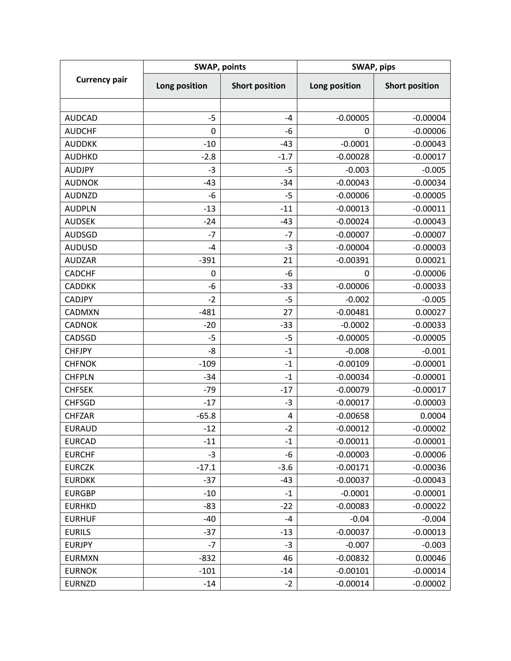| <b>Currency pair</b> | <b>SWAP, points</b> |                       | SWAP, pips    |                       |
|----------------------|---------------------|-----------------------|---------------|-----------------------|
|                      | Long position       | <b>Short position</b> | Long position | <b>Short position</b> |
|                      |                     |                       |               |                       |
| <b>AUDCAD</b>        | $-5$                | $-4$                  | $-0.00005$    | $-0.00004$            |
| <b>AUDCHF</b>        | $\mathbf 0$         | -6                    | 0             | $-0.00006$            |
| <b>AUDDKK</b>        | $-10$               | $-43$                 | $-0.0001$     | $-0.00043$            |
| <b>AUDHKD</b>        | $-2.8$              | $-1.7$                | $-0.00028$    | $-0.00017$            |
| <b>AUDJPY</b>        | $-3$                | $-5$                  | $-0.003$      | $-0.005$              |
| <b>AUDNOK</b>        | $-43$               | $-34$                 | $-0.00043$    | $-0.00034$            |
| <b>AUDNZD</b>        | -6                  | $-5$                  | $-0.00006$    | $-0.00005$            |
| <b>AUDPLN</b>        | $-13$               | $-11$                 | $-0.00013$    | $-0.00011$            |
| <b>AUDSEK</b>        | $-24$               | $-43$                 | $-0.00024$    | $-0.00043$            |
| <b>AUDSGD</b>        | $-7$                | $-7$                  | $-0.00007$    | $-0.00007$            |
| <b>AUDUSD</b>        | $-4$                | $-3$                  | $-0.00004$    | $-0.00003$            |
| <b>AUDZAR</b>        | $-391$              | 21                    | $-0.00391$    | 0.00021               |
| <b>CADCHF</b>        | $\mathbf 0$         | $-6$                  | 0             | $-0.00006$            |
| <b>CADDKK</b>        | -6                  | $-33$                 | $-0.00006$    | $-0.00033$            |
| <b>CADJPY</b>        | $-2$                | $-5$                  | $-0.002$      | $-0.005$              |
| CADMXN               | $-481$              | 27                    | $-0.00481$    | 0.00027               |
| <b>CADNOK</b>        | $-20$               | $-33$                 | $-0.0002$     | $-0.00033$            |
| CADSGD               | $-5$                | $-5$                  | $-0.00005$    | $-0.00005$            |
| <b>CHFJPY</b>        | $-8$                | $-1$                  | $-0.008$      | $-0.001$              |
| <b>CHFNOK</b>        | $-109$              | $-1$                  | $-0.00109$    | $-0.00001$            |
| <b>CHFPLN</b>        | $-34$               | $-1$                  | $-0.00034$    | $-0.00001$            |
| <b>CHFSEK</b>        | $-79$               | $-17$                 | $-0.00079$    | $-0.00017$            |
| <b>CHFSGD</b>        | $-17$               | $-3$                  | $-0.00017$    | $-0.00003$            |
| <b>CHFZAR</b>        | $-65.8$             | 4                     | $-0.00658$    | 0.0004                |
| <b>EURAUD</b>        | $-12$               | $-2$                  | $-0.00012$    | $-0.00002$            |
| <b>EURCAD</b>        | $-11$               | $-1$                  | $-0.00011$    | $-0.00001$            |
| <b>EURCHF</b>        | $-3$                | -6                    | $-0.00003$    | $-0.00006$            |
| <b>EURCZK</b>        | $-17.1$             | $-3.6$                | $-0.00171$    | $-0.00036$            |
| <b>EURDKK</b>        | $-37$               | $-43$                 | $-0.00037$    | $-0.00043$            |
| <b>EURGBP</b>        | $-10$               | $-1$                  | $-0.0001$     | $-0.00001$            |
| <b>EURHKD</b>        | $-83$               | $-22$                 | $-0.00083$    | $-0.00022$            |
| <b>EURHUF</b>        | $-40$               | $-4$                  | $-0.04$       | $-0.004$              |
| <b>EURILS</b>        | $-37$               | $-13$                 | $-0.00037$    | $-0.00013$            |
| <b>EURJPY</b>        | $-7$                | $-3$                  | $-0.007$      | $-0.003$              |
| <b>EURMXN</b>        | $-832$              | 46                    | $-0.00832$    | 0.00046               |
| <b>EURNOK</b>        | $-101$              | $-14$                 | $-0.00101$    | $-0.00014$            |
| <b>EURNZD</b>        | $-14$               | $-2$                  | $-0.00014$    | $-0.00002$            |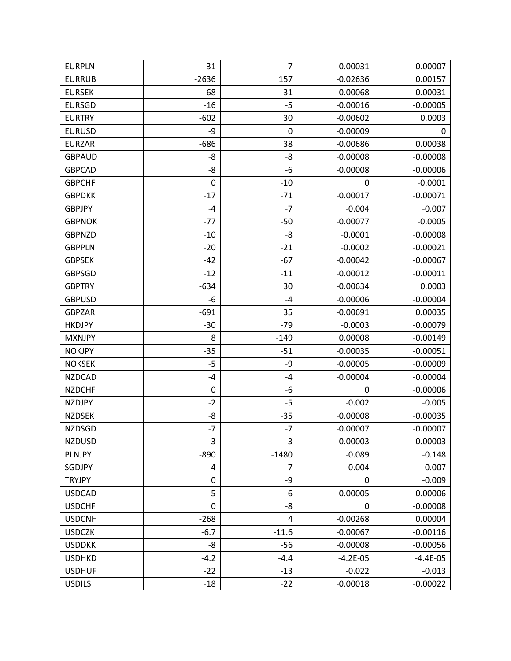| <b>EURPLN</b> | $-31$     | $-7$    | $-0.00031$ | $-0.00007$ |
|---------------|-----------|---------|------------|------------|
| <b>EURRUB</b> | $-2636$   | 157     | $-0.02636$ | 0.00157    |
| <b>EURSEK</b> | $-68$     | $-31$   | $-0.00068$ | $-0.00031$ |
| <b>EURSGD</b> | $-16$     | $-5$    | $-0.00016$ | $-0.00005$ |
| <b>EURTRY</b> | $-602$    | 30      | $-0.00602$ | 0.0003     |
| <b>EURUSD</b> | -9        | 0       | $-0.00009$ | 0          |
| <b>EURZAR</b> | $-686$    | 38      | $-0.00686$ | 0.00038    |
| <b>GBPAUD</b> | -8        | -8      | $-0.00008$ | $-0.00008$ |
| <b>GBPCAD</b> | -8        | -6      | $-0.00008$ | $-0.00006$ |
| <b>GBPCHF</b> | 0         | $-10$   | 0          | $-0.0001$  |
| <b>GBPDKK</b> | $-17$     | $-71$   | $-0.00017$ | $-0.00071$ |
| <b>GBPJPY</b> | $-4$      | $-7$    | $-0.004$   | $-0.007$   |
| <b>GBPNOK</b> | $-77$     | $-50$   | $-0.00077$ | $-0.0005$  |
| <b>GBPNZD</b> | $-10$     | -8      | $-0.0001$  | $-0.00008$ |
| <b>GBPPLN</b> | $-20$     | $-21$   | $-0.0002$  | $-0.00021$ |
| <b>GBPSEK</b> | $-42$     | $-67$   | $-0.00042$ | $-0.00067$ |
| <b>GBPSGD</b> | $-12$     | $-11$   | $-0.00012$ | $-0.00011$ |
| <b>GBPTRY</b> | $-634$    | 30      | $-0.00634$ | 0.0003     |
| <b>GBPUSD</b> | -6        | $-4$    | $-0.00006$ | $-0.00004$ |
| <b>GBPZAR</b> | $-691$    | 35      | $-0.00691$ | 0.00035    |
| <b>HKDJPY</b> | $-30$     | $-79$   | $-0.0003$  | $-0.00079$ |
| <b>MXNJPY</b> | 8         | $-149$  | 0.00008    | $-0.00149$ |
| <b>NOKJPY</b> | $-35$     | $-51$   | $-0.00035$ | $-0.00051$ |
| <b>NOKSEK</b> | $-5$      | -9      | $-0.00005$ | $-0.00009$ |
| <b>NZDCAD</b> | $-4$      | -4      | $-0.00004$ | $-0.00004$ |
| <b>NZDCHF</b> | $\pmb{0}$ | -6      | 0          | $-0.00006$ |
| <b>NZDJPY</b> | $-2$      | $-5$    | $-0.002$   | $-0.005$   |
| <b>NZDSEK</b> | -8        | $-35$   | $-0.00008$ | $-0.00035$ |
| <b>NZDSGD</b> | $-7$      | $-7$    | $-0.00007$ | $-0.00007$ |
| <b>NZDUSD</b> | $-3$      | $-3$    | $-0.00003$ | $-0.00003$ |
| <b>PLNJPY</b> | $-890$    | $-1480$ | $-0.089$   | $-0.148$   |
| SGDJPY        | $-4$      | $-7$    | $-0.004$   | $-0.007$   |
| <b>TRYJPY</b> | $\pmb{0}$ | -9      | 0          | $-0.009$   |
| <b>USDCAD</b> | $-5$      | -6      | $-0.00005$ | $-0.00006$ |
| <b>USDCHF</b> | $\pmb{0}$ | -8      | 0          | $-0.00008$ |
| <b>USDCNH</b> | $-268$    | 4       | $-0.00268$ | 0.00004    |
| <b>USDCZK</b> | $-6.7$    | $-11.6$ | $-0.00067$ | $-0.00116$ |
| <b>USDDKK</b> | -8        | $-56$   | $-0.00008$ | $-0.00056$ |
| <b>USDHKD</b> | $-4.2$    | $-4.4$  | $-4.2E-05$ | $-4.4E-05$ |
| <b>USDHUF</b> | $-22$     | $-13$   | $-0.022$   | $-0.013$   |
| <b>USDILS</b> | $-18$     | $-22$   | $-0.00018$ | $-0.00022$ |